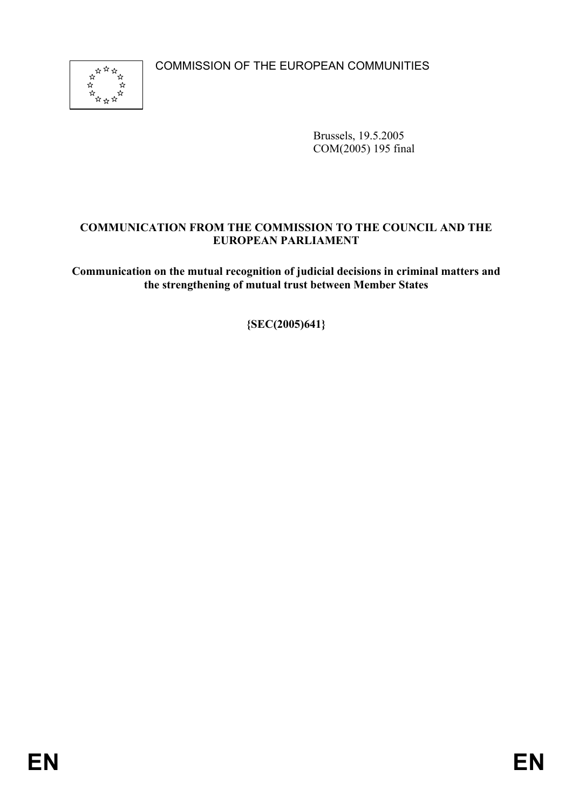COMMISSION OF THE EUROPEAN COMMUNITIES



Brussels, 19.5.2005 COM(2005) 195 final

# **COMMUNICATION FROM THE COMMISSION TO THE COUNCIL AND THE EUROPEAN PARLIAMENT**

**Communication on the mutual recognition of judicial decisions in criminal matters and the strengthening of mutual trust between Member States** 

**{SEC(2005)641}**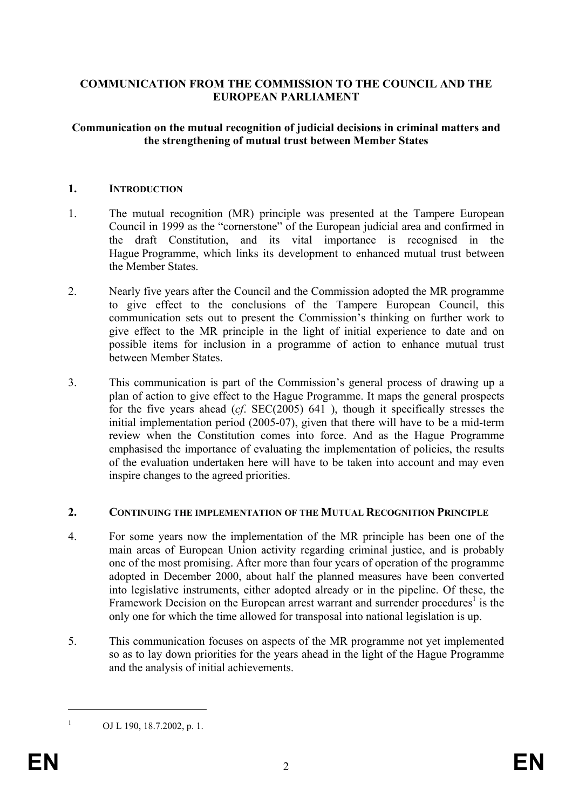## **COMMUNICATION FROM THE COMMISSION TO THE COUNCIL AND THE EUROPEAN PARLIAMENT**

#### **Communication on the mutual recognition of judicial decisions in criminal matters and the strengthening of mutual trust between Member States**

#### **1. INTRODUCTION**

- 1. The mutual recognition (MR) principle was presented at the Tampere European Council in 1999 as the "cornerstone" of the European judicial area and confirmed in the draft Constitution, and its vital importance is recognised in the Hague Programme, which links its development to enhanced mutual trust between the Member States.
- 2. Nearly five years after the Council and the Commission adopted the MR programme to give effect to the conclusions of the Tampere European Council, this communication sets out to present the Commission's thinking on further work to give effect to the MR principle in the light of initial experience to date and on possible items for inclusion in a programme of action to enhance mutual trust between Member States.
- 3. This communication is part of the Commission's general process of drawing up a plan of action to give effect to the Hague Programme. It maps the general prospects for the five years ahead (*cf*. SEC(2005) 641 ), though it specifically stresses the initial implementation period (2005-07), given that there will have to be a mid-term review when the Constitution comes into force. And as the Hague Programme emphasised the importance of evaluating the implementation of policies, the results of the evaluation undertaken here will have to be taken into account and may even inspire changes to the agreed priorities.

#### **2. CONTINUING THE IMPLEMENTATION OF THE MUTUAL RECOGNITION PRINCIPLE**

- 4. For some years now the implementation of the MR principle has been one of the main areas of European Union activity regarding criminal justice, and is probably one of the most promising. After more than four years of operation of the programme adopted in December 2000, about half the planned measures have been converted into legislative instruments, either adopted already or in the pipeline. Of these, the Framework Decision on the European arrest warrant and surrender procedures<sup>1</sup> is the only one for which the time allowed for transposal into national legislation is up.
- 5. This communication focuses on aspects of the MR programme not yet implemented so as to lay down priorities for the years ahead in the light of the Hague Programme and the analysis of initial achievements.

OJ L 190, 18.7.2002, p. 1.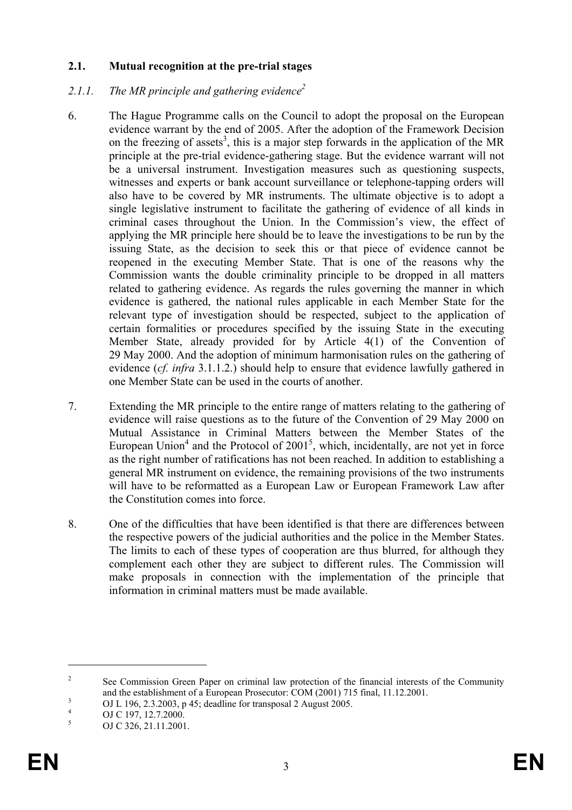## **2.1. Mutual recognition at the pre-trial stages**

## 2.1.1. The MR principle and gathering evidence<sup>2</sup>

- 6. The Hague Programme calls on the Council to adopt the proposal on the European evidence warrant by the end of 2005. After the adoption of the Framework Decision on the freezing of assets<sup>3</sup>, this is a major step forwards in the application of the MR principle at the pre-trial evidence-gathering stage. But the evidence warrant will not be a universal instrument. Investigation measures such as questioning suspects, witnesses and experts or bank account surveillance or telephone-tapping orders will also have to be covered by MR instruments. The ultimate objective is to adopt a single legislative instrument to facilitate the gathering of evidence of all kinds in criminal cases throughout the Union. In the Commission's view, the effect of applying the MR principle here should be to leave the investigations to be run by the issuing State, as the decision to seek this or that piece of evidence cannot be reopened in the executing Member State. That is one of the reasons why the Commission wants the double criminality principle to be dropped in all matters related to gathering evidence. As regards the rules governing the manner in which evidence is gathered, the national rules applicable in each Member State for the relevant type of investigation should be respected, subject to the application of certain formalities or procedures specified by the issuing State in the executing Member State, already provided for by Article 4(1) of the Convention of 29 May 2000. And the adoption of minimum harmonisation rules on the gathering of evidence (*cf. infra* 3.1.1.2.) should help to ensure that evidence lawfully gathered in one Member State can be used in the courts of another.
- 7. Extending the MR principle to the entire range of matters relating to the gathering of evidence will raise questions as to the future of the Convention of 29 May 2000 on Mutual Assistance in Criminal Matters between the Member States of the European Union<sup>4</sup> and the Protocol of  $2001^5$ , which, incidentally, are not yet in force as the right number of ratifications has not been reached. In addition to establishing a general MR instrument on evidence, the remaining provisions of the two instruments will have to be reformatted as a European Law or European Framework Law after the Constitution comes into force.
- 8. One of the difficulties that have been identified is that there are differences between the respective powers of the judicial authorities and the police in the Member States. The limits to each of these types of cooperation are thus blurred, for although they complement each other they are subject to different rules. The Commission will make proposals in connection with the implementation of the principle that information in criminal matters must be made available.

<sup>2</sup> See Commission Green Paper on criminal law protection of the financial interests of the Community and the establishment of a European Prosecutor: COM (2001) 715 final, 11.12.2001.

OJ L 196, 2.3.2003, p 45; deadline for transposal 2 August 2005.

<sup>4</sup> OJ C 197, 12.7.2000.

<sup>5</sup> OJ C 326, 21.11.2001.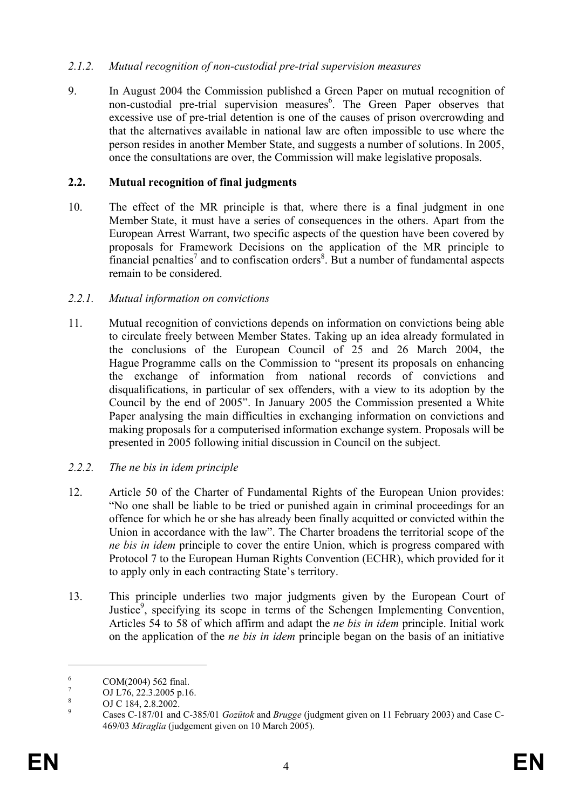## *2.1.2. Mutual recognition of non-custodial pre-trial supervision measures*

9. In August 2004 the Commission published a Green Paper on mutual recognition of non-custodial pre-trial supervision measures<sup>6</sup>. The Green Paper observes that excessive use of pre-trial detention is one of the causes of prison overcrowding and that the alternatives available in national law are often impossible to use where the person resides in another Member State, and suggests a number of solutions. In 2005, once the consultations are over, the Commission will make legislative proposals.

## **2.2. Mutual recognition of final judgments**

10. The effect of the MR principle is that, where there is a final judgment in one Member State, it must have a series of consequences in the others. Apart from the European Arrest Warrant, two specific aspects of the question have been covered by proposals for Framework Decisions on the application of the MR principle to financial penalties<sup>7</sup> and to confiscation orders<sup>8</sup>. But a number of fundamental aspects remain to be considered.

## *2.2.1. Mutual information on convictions*

11. Mutual recognition of convictions depends on information on convictions being able to circulate freely between Member States. Taking up an idea already formulated in the conclusions of the European Council of 25 and 26 March 2004, the Hague Programme calls on the Commission to "present its proposals on enhancing the exchange of information from national records of convictions and disqualifications, in particular of sex offenders, with a view to its adoption by the Council by the end of 2005". In January 2005 the Commission presented a White Paper analysing the main difficulties in exchanging information on convictions and making proposals for a computerised information exchange system. Proposals will be presented in 2005 following initial discussion in Council on the subject.

## *2.2.2. The ne bis in idem principle*

- 12. Article 50 of the Charter of Fundamental Rights of the European Union provides: "No one shall be liable to be tried or punished again in criminal proceedings for an offence for which he or she has already been finally acquitted or convicted within the Union in accordance with the law". The Charter broadens the territorial scope of the *ne bis in idem* principle to cover the entire Union, which is progress compared with Protocol 7 to the European Human Rights Convention (ECHR), which provided for it to apply only in each contracting State's territory.
- 13. This principle underlies two major judgments given by the European Court of Justice<sup>9</sup>, specifying its scope in terms of the Schengen Implementing Convention, Articles 54 to 58 of which affirm and adapt the *ne bis in idem* principle. Initial work on the application of the *ne bis in idem* principle began on the basis of an initiative

<sup>6</sup> COM(2004) 562 final.

<sup>7</sup> OJ L76, 22.3.2005 p.16.

<sup>8</sup> OJ C 184, 2.8.2002.

<sup>9</sup> Cases C-187/01 and C-385/01 *Gozütok* and *Brugge* (judgment given on 11 February 2003) and Case C-469/03 *Miraglia* (judgement given on 10 March 2005).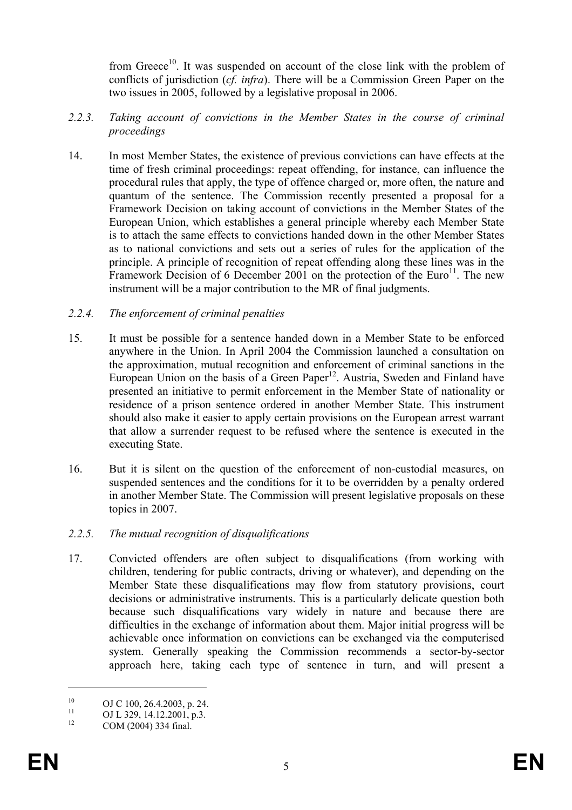from Greece<sup>10</sup>. It was suspended on account of the close link with the problem of conflicts of jurisdiction (*cf. infra*). There will be a Commission Green Paper on the two issues in 2005, followed by a legislative proposal in 2006.

- *2.2.3. Taking account of convictions in the Member States in the course of criminal proceedings*
- 14. In most Member States, the existence of previous convictions can have effects at the time of fresh criminal proceedings: repeat offending, for instance, can influence the procedural rules that apply, the type of offence charged or, more often, the nature and quantum of the sentence. The Commission recently presented a proposal for a Framework Decision on taking account of convictions in the Member States of the European Union, which establishes a general principle whereby each Member State is to attach the same effects to convictions handed down in the other Member States as to national convictions and sets out a series of rules for the application of the principle. A principle of recognition of repeat offending along these lines was in the Framework Decision of 6 December 2001 on the protection of the Euro<sup>11</sup>. The new instrument will be a major contribution to the MR of final judgments.

## *2.2.4. The enforcement of criminal penalties*

- 15. It must be possible for a sentence handed down in a Member State to be enforced anywhere in the Union. In April 2004 the Commission launched a consultation on the approximation, mutual recognition and enforcement of criminal sanctions in the European Union on the basis of a Green Paper<sup>12</sup>. Austria, Sweden and Finland have presented an initiative to permit enforcement in the Member State of nationality or residence of a prison sentence ordered in another Member State. This instrument should also make it easier to apply certain provisions on the European arrest warrant that allow a surrender request to be refused where the sentence is executed in the executing State.
- 16. But it is silent on the question of the enforcement of non-custodial measures, on suspended sentences and the conditions for it to be overridden by a penalty ordered in another Member State. The Commission will present legislative proposals on these topics in 2007.

## *2.2.5. The mutual recognition of disqualifications*

17. Convicted offenders are often subject to disqualifications (from working with children, tendering for public contracts, driving or whatever), and depending on the Member State these disqualifications may flow from statutory provisions, court decisions or administrative instruments. This is a particularly delicate question both because such disqualifications vary widely in nature and because there are difficulties in the exchange of information about them. Major initial progress will be achievable once information on convictions can be exchanged via the computerised system. Generally speaking the Commission recommends a sector-by-sector approach here, taking each type of sentence in turn, and will present a

<sup>&</sup>lt;sup>10</sup> OJ C 100, 26.4.2003, p. 24.

<sup>&</sup>lt;sup>11</sup> OJ L 329, 14.12.2001, p.3.<br>
COM (2004) 224 5 1

COM (2004) 334 final.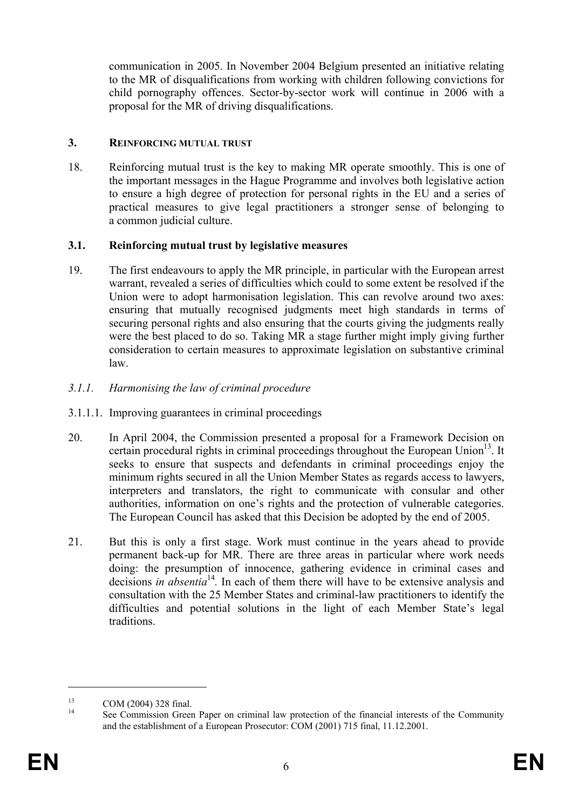communication in 2005. In November 2004 Belgium presented an initiative relating to the MR of disqualifications from working with children following convictions for child pornography offences. Sector-by-sector work will continue in 2006 with a proposal for the MR of driving disqualifications.

## **3. REINFORCING MUTUAL TRUST**

18. Reinforcing mutual trust is the key to making MR operate smoothly. This is one of the important messages in the Hague Programme and involves both legislative action to ensure a high degree of protection for personal rights in the EU and a series of practical measures to give legal practitioners a stronger sense of belonging to a common judicial culture.

## **3.1. Reinforcing mutual trust by legislative measures**

- 19. The first endeavours to apply the MR principle, in particular with the European arrest warrant, revealed a series of difficulties which could to some extent be resolved if the Union were to adopt harmonisation legislation. This can revolve around two axes: ensuring that mutually recognised judgments meet high standards in terms of securing personal rights and also ensuring that the courts giving the judgments really were the best placed to do so. Taking MR a stage further might imply giving further consideration to certain measures to approximate legislation on substantive criminal law.
- *3.1.1. Harmonising the law of criminal procedure*
- 3.1.1.1. Improving guarantees in criminal proceedings
- 20. In April 2004, the Commission presented a proposal for a Framework Decision on certain procedural rights in criminal proceedings throughout the European Union<sup>13</sup>. It seeks to ensure that suspects and defendants in criminal proceedings enjoy the minimum rights secured in all the Union Member States as regards access to lawyers, interpreters and translators, the right to communicate with consular and other authorities, information on one's rights and the protection of vulnerable categories. The European Council has asked that this Decision be adopted by the end of 2005.
- 21. But this is only a first stage. Work must continue in the years ahead to provide permanent back-up for MR. There are three areas in particular where work needs doing: the presumption of innocence, gathering evidence in criminal cases and decisions *in absentia*<sup>14</sup>. In each of them there will have to be extensive analysis and consultation with the 25 Member States and criminal-law practitioners to identify the difficulties and potential solutions in the light of each Member State's legal traditions.

 $13$  COM (2004) 328 final.

See Commission Green Paper on criminal law protection of the financial interests of the Community and the establishment of a European Prosecutor: COM (2001) 715 final, 11.12.2001.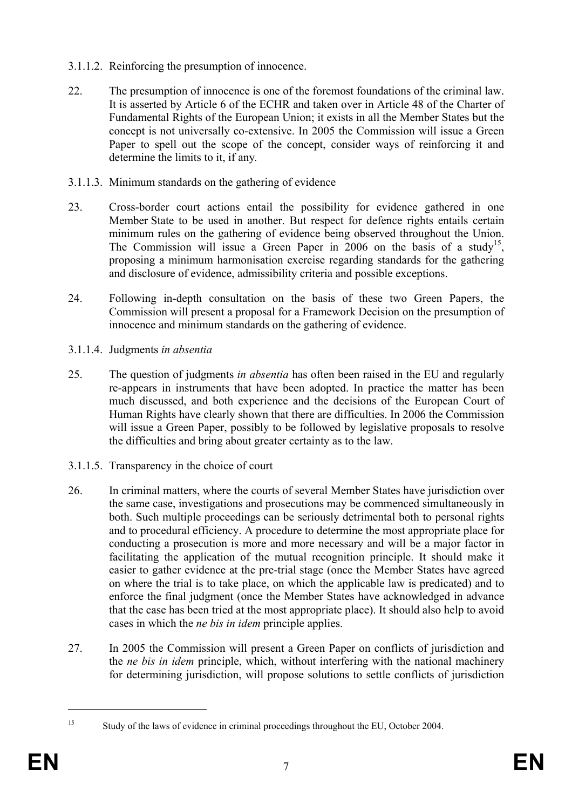- 3.1.1.2. Reinforcing the presumption of innocence.
- 22. The presumption of innocence is one of the foremost foundations of the criminal law. It is asserted by Article 6 of the ECHR and taken over in Article 48 of the Charter of Fundamental Rights of the European Union; it exists in all the Member States but the concept is not universally co-extensive. In 2005 the Commission will issue a Green Paper to spell out the scope of the concept, consider ways of reinforcing it and determine the limits to it, if any*.*
- 3.1.1.3. Minimum standards on the gathering of evidence
- 23. Cross-border court actions entail the possibility for evidence gathered in one Member State to be used in another. But respect for defence rights entails certain minimum rules on the gathering of evidence being observed throughout the Union. The Commission will issue a Green Paper in 2006 on the basis of a study<sup>15</sup>, proposing a minimum harmonisation exercise regarding standards for the gathering and disclosure of evidence, admissibility criteria and possible exceptions.
- 24. Following in-depth consultation on the basis of these two Green Papers, the Commission will present a proposal for a Framework Decision on the presumption of innocence and minimum standards on the gathering of evidence.
- 3.1.1.4. Judgments *in absentia*
- 25. The question of judgments *in absentia* has often been raised in the EU and regularly re-appears in instruments that have been adopted. In practice the matter has been much discussed, and both experience and the decisions of the European Court of Human Rights have clearly shown that there are difficulties. In 2006 the Commission will issue a Green Paper, possibly to be followed by legislative proposals to resolve the difficulties and bring about greater certainty as to the law.
- 3.1.1.5. Transparency in the choice of court
- 26. In criminal matters, where the courts of several Member States have jurisdiction over the same case, investigations and prosecutions may be commenced simultaneously in both. Such multiple proceedings can be seriously detrimental both to personal rights and to procedural efficiency. A procedure to determine the most appropriate place for conducting a prosecution is more and more necessary and will be a major factor in facilitating the application of the mutual recognition principle. It should make it easier to gather evidence at the pre-trial stage (once the Member States have agreed on where the trial is to take place, on which the applicable law is predicated) and to enforce the final judgment (once the Member States have acknowledged in advance that the case has been tried at the most appropriate place). It should also help to avoid cases in which the *ne bis in idem* principle applies.
- 27. In 2005 the Commission will present a Green Paper on conflicts of jurisdiction and the *ne bis in idem* principle, which, without interfering with the national machinery for determining jurisdiction, will propose solutions to settle conflicts of jurisdiction

<sup>&</sup>lt;sup>15</sup> Study of the laws of evidence in criminal proceedings throughout the EU, October 2004.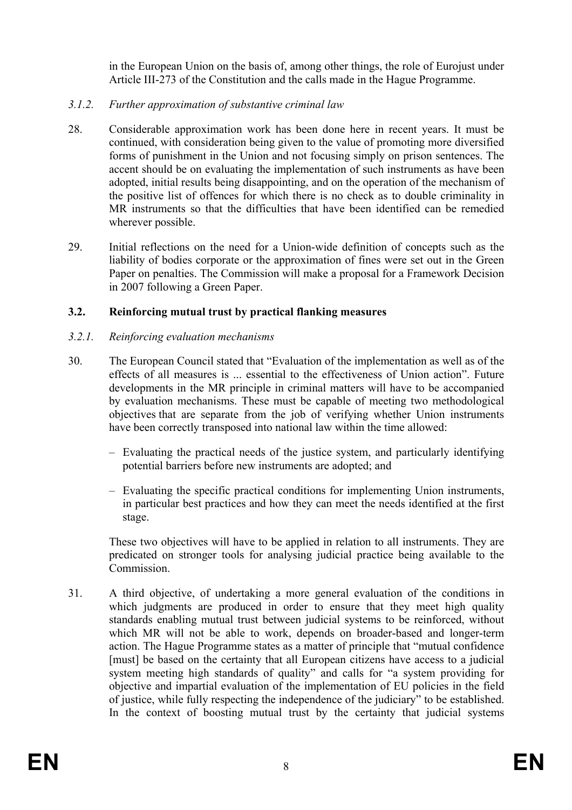in the European Union on the basis of, among other things, the role of Eurojust under Article III-273 of the Constitution and the calls made in the Hague Programme.

- *3.1.2. Further approximation of substantive criminal law*
- 28. Considerable approximation work has been done here in recent years. It must be continued, with consideration being given to the value of promoting more diversified forms of punishment in the Union and not focusing simply on prison sentences. The accent should be on evaluating the implementation of such instruments as have been adopted, initial results being disappointing, and on the operation of the mechanism of the positive list of offences for which there is no check as to double criminality in MR instruments so that the difficulties that have been identified can be remedied wherever possible.
- 29. Initial reflections on the need for a Union-wide definition of concepts such as the liability of bodies corporate or the approximation of fines were set out in the Green Paper on penalties. The Commission will make a proposal for a Framework Decision in 2007 following a Green Paper.

# **3.2. Reinforcing mutual trust by practical flanking measures**

# *3.2.1. Reinforcing evaluation mechanisms*

- 30. The European Council stated that "Evaluation of the implementation as well as of the effects of all measures is ... essential to the effectiveness of Union action". Future developments in the MR principle in criminal matters will have to be accompanied by evaluation mechanisms. These must be capable of meeting two methodological objectives that are separate from the job of verifying whether Union instruments have been correctly transposed into national law within the time allowed:
	- Evaluating the practical needs of the justice system, and particularly identifying potential barriers before new instruments are adopted; and
	- Evaluating the specific practical conditions for implementing Union instruments, in particular best practices and how they can meet the needs identified at the first stage.

These two objectives will have to be applied in relation to all instruments. They are predicated on stronger tools for analysing judicial practice being available to the Commission.

31. A third objective, of undertaking a more general evaluation of the conditions in which judgments are produced in order to ensure that they meet high quality standards enabling mutual trust between judicial systems to be reinforced, without which MR will not be able to work, depends on broader-based and longer-term action. The Hague Programme states as a matter of principle that "mutual confidence [must] be based on the certainty that all European citizens have access to a judicial system meeting high standards of quality" and calls for "a system providing for objective and impartial evaluation of the implementation of EU policies in the field of justice, while fully respecting the independence of the judiciary" to be established. In the context of boosting mutual trust by the certainty that judicial systems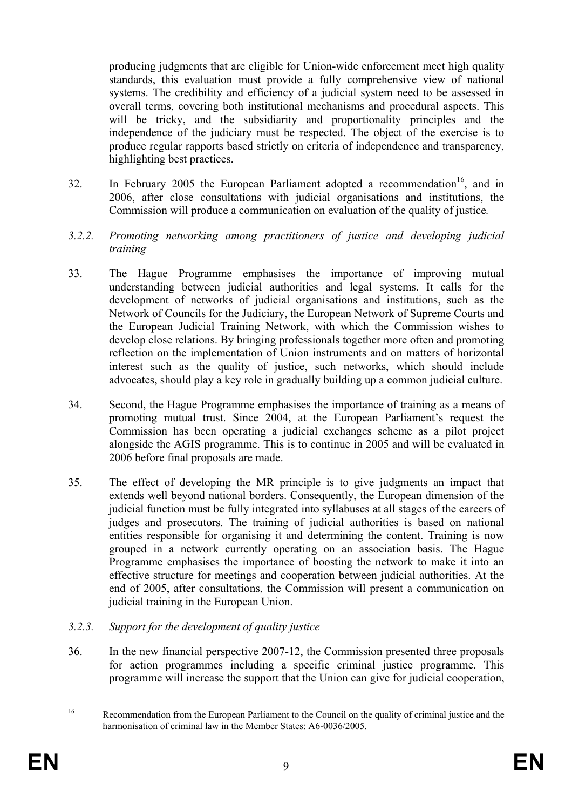producing judgments that are eligible for Union-wide enforcement meet high quality standards, this evaluation must provide a fully comprehensive view of national systems. The credibility and efficiency of a judicial system need to be assessed in overall terms, covering both institutional mechanisms and procedural aspects. This will be tricky, and the subsidiarity and proportionality principles and the independence of the judiciary must be respected. The object of the exercise is to produce regular rapports based strictly on criteria of independence and transparency, highlighting best practices.

- 32. In February 2005 the European Parliament adopted a recommendation<sup>16</sup>, and in 2006, after close consultations with judicial organisations and institutions, the Commission will produce a communication on evaluation of the quality of justice*.*
- *3.2.2. Promoting networking among practitioners of justice and developing judicial training*
- 33. The Hague Programme emphasises the importance of improving mutual understanding between judicial authorities and legal systems. It calls for the development of networks of judicial organisations and institutions, such as the Network of Councils for the Judiciary, the European Network of Supreme Courts and the European Judicial Training Network, with which the Commission wishes to develop close relations. By bringing professionals together more often and promoting reflection on the implementation of Union instruments and on matters of horizontal interest such as the quality of justice, such networks, which should include advocates, should play a key role in gradually building up a common judicial culture.
- 34. Second, the Hague Programme emphasises the importance of training as a means of promoting mutual trust. Since 2004, at the European Parliament's request the Commission has been operating a judicial exchanges scheme as a pilot project alongside the AGIS programme. This is to continue in 2005 and will be evaluated in 2006 before final proposals are made.
- 35. The effect of developing the MR principle is to give judgments an impact that extends well beyond national borders. Consequently, the European dimension of the judicial function must be fully integrated into syllabuses at all stages of the careers of judges and prosecutors. The training of judicial authorities is based on national entities responsible for organising it and determining the content. Training is now grouped in a network currently operating on an association basis. The Hague Programme emphasises the importance of boosting the network to make it into an effective structure for meetings and cooperation between judicial authorities. At the end of 2005, after consultations, the Commission will present a communication on judicial training in the European Union.

## *3.2.3. Support for the development of quality justice*

36. In the new financial perspective 2007-12, the Commission presented three proposals for action programmes including a specific criminal justice programme. This programme will increase the support that the Union can give for judicial cooperation,

<sup>&</sup>lt;sup>16</sup> Recommendation from the European Parliament to the Council on the quality of criminal justice and the harmonisation of criminal law in the Member States: A6-0036/2005.